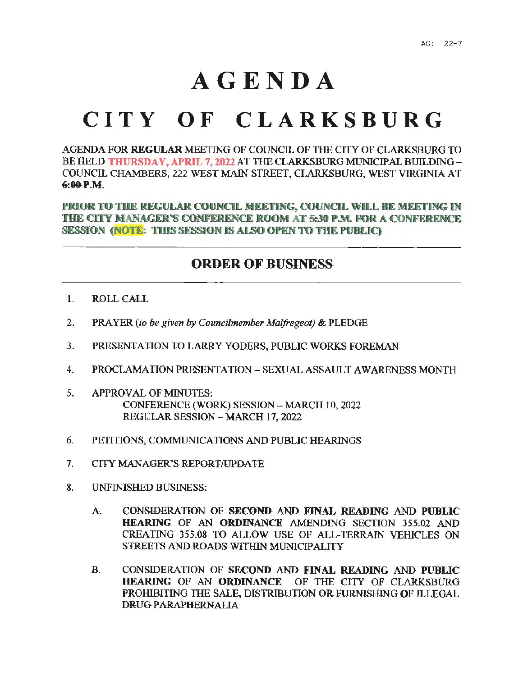## **AGENDA**

## **CITY OF CL A RK SBURG**

AGENDA FOR **REGULAR** MEETING OF COUNCIL OF TIIB CITY OF CLARKSBURG TO BE HELD **THURSDAY, APRIL 7, 2022 AT THE CLARKSBURG MUNICIPAL BUILDING -**COUNCIL CHAMBERS, 222 WEST MAIN STREET, CLARKSBURG, WEST VIRGINIA AT **6-:00-P.M.** 

**PRIOR TO THE REGULAR COUNCIL MEETING, COUNCIL WILL BE MEETING IN THE CITY MANAGER'S CONFERENCE ROOM AT 5:30 P.M. FOR A CONFERENCE SESSION (NOTE: THIS SESSION IS ALSO OPEN TO THE PUBLIC)** 

## **ORDER OF BUSINESS**

- 1. ROLL CALL
- 2. PRAYER *(to be given by Councilmember Malfregeot)* & PLEDGE
- J. PRESENTATION TO LARRY YODERS, PUBLIC WORKS FOREMAN
- 4. PROCLAMATION PRESENTATION-SEXUAL ASSAULT AWARENESS MONTH
- 5. APPROVAL OF MINUTES: CONFERENCE (WORK) SESSION - MARCH 10, 2022 REGULAR SESSION - MARCH 17, 2022
- 6. PETITIONS, COMMUNICATIONS AND PUBLIC HEARINGS
- 7. CITY MANAGER'S REPORT/UPDATE
- 8. UNFINISHED BUSINESS:
	- A. CONSIDERATION OF SECOND AND **FINAL READING** AND **PUBLIC HEARING** OF AN **ORDINANCE** AMENDING SECTION 355.02 AND CREATING 355.08 TO ALLOW USE OF ALL-TERRAIN VEHICLES ON STREETS AND ROADS WITHIN MUNICIPALITY
	- B. CONSIDERATION OF **SECOND** AND **FINAL READING** AND **PUBLIC HEARING** OF AN **ORDINANCE** OF THE CITY OF CLARKSBURG PROHIBITING THE SALE, DISTRIBUTION OR FURNISHING OF ILLEGAL DRUG PARAPHERNALIA